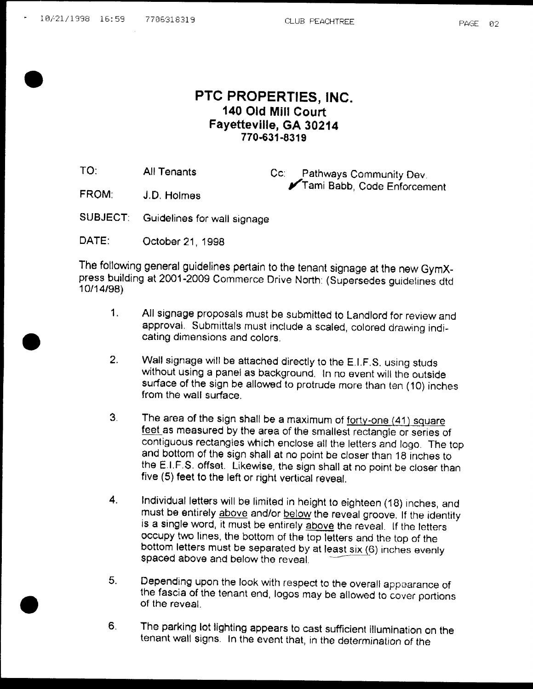## PTC PROPERTIES, INC. 140 Old Mill Court Fayetteville, GA 30214 770 631 8319

TO: All Tenants Cc: Pathways Community Dev. Tami Babb, Code Enforcement

FROM: J.D. Holmes

SUBJECT: Guidelines for wall signage

DATE: October 21, 1998

The following general guidelines pertain to the tenant signage at the new GymX press building at 2001-2009 Commerce Drive North: (Supersedes guidelines dtd 10/14/98)

- 1. All signage proposals must be submitted to Landlord for review and approval. Submittals must include a scaled, colored drawing indicating dimensions and colors
- 2. Wall signage will be attached directly to the E.I.F.S. using studs without using a panel as background. In no event will the outside surface of the sign be allowed to protrude more than ten (10) inches from the wall surface
- 3. The area of the sign shall be a maximum of  $forty$ -one  $(41)$  square feet as measured by the area of the smallest rectangle or series of contiguous rectangles which enclose all the letters and logo The top and bottom of the sign shall at no point be closer than 18 inches to the E.I.F.S. offset. Likewise, the sign shall at no point be closer than five (5) feet to the left or right vertical reveal.
- 4. Individual letters will be limited in height to eighteen (18) inches, and must be entirely above and/or below the reveal groove. If the identity is a single word, it must be entirely above the reveal. If the letters occupy two lines, the bottom of the top letters and the top of the bottom letters must be separated by at least  $sin(6)$  inches evenly spaced above and below the reveal
- 5. Depending upon the look with respect to the overall appearance of the fascia of the tenant end, logos may be allowed to cover portions of the reveal
- <sup>6</sup> The parking lot lighting appears to cast sufficient illumination on the tenant wall signs. In the event that, in the determination of the